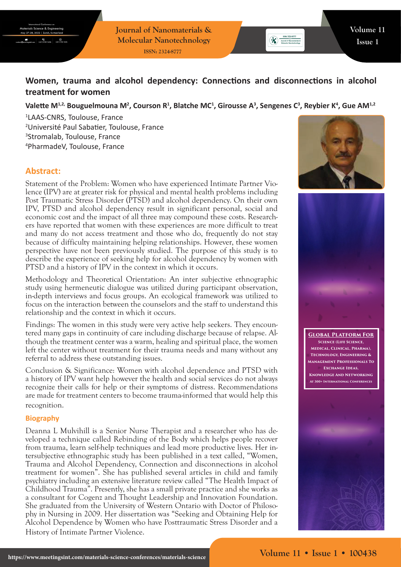**Journal of Nanomaterials & Molecular Nanotechnology ISSN: 2324-8777**

# **Women, trauma and alcohol dependency: Connections and disconnections in alcohol treatment for women**

## Valette M<sup>1,2,</sup> Bouguelmouna M<sup>2</sup>, Courson R<sup>1</sup>, Blatche MC<sup>1</sup>, Girousse A<sup>3</sup>, Sengenes C<sup>3</sup>, Reybier K<sup>4</sup>, Gue AM<sup>1,2</sup>

 LAAS-CNRS, Toulouse, France Université Paul Sabatier, Toulouse, France Stromalab, Toulouse, France PharmadeV, Toulouse, France

# **Abstract:**

Statement of the Problem: Women who have experienced Intimate Partner Violence (IPV) are at greater risk for physical and mental health problems including Post Traumatic Stress Disorder (PTSD) and alcohol dependency. On their own IPV, PTSD and alcohol dependency result in significant personal, social and economic cost and the impact of all three may compound these costs. Researchers have reported that women with these experiences are more difficult to treat and many do not access treatment and those who do, frequently do not stay because of difficulty maintaining helping relationships. However, these women perspective have not been previously studied. The purpose of this study is to describe the experience of seeking help for alcohol dependency by women with PTSD and a history of IPV in the context in which it occurs.

Methodology and Theoretical Orientation: An inter subjective ethnographic study using hermeneutic dialogue was utilized during participant observation, in-depth interviews and focus groups. An ecological framework was utilized to focus on the interaction between the counselors and the staff to understand this relationship and the context in which it occurs.

Findings: The women in this study were very active help seekers. They encountered many gaps in continuity of care including discharge because of relapse. Although the treatment center was a warm, healing and spiritual place, the women left the center without treatment for their trauma needs and many without any referral to address these outstanding issues.

Conclusion & Significance: Women with alcohol dependence and PTSD with a history of IPV want help however the health and social services do not always recognize their calls for help or their symptoms of distress. Recommendations are made for treatment centers to become trauma-informed that would help this recognition.

#### **Biography**

Deanna L Mulvihill is a Senior Nurse Therapist and a researcher who has developed a technique called Rebinding of the Body which helps people recover from trauma, learn self-help techniques and lead more productive lives. Her intersubjective ethnographic study has been published in a text called, "Women, Trauma and Alcohol Dependency, Connection and disconnections in alcohol treatment for women". She has published several articles in child and family psychiatry including an extensive literature review called "The Health Impact of Childhood Trauma". Presently, she has a small private practice and she works as a consultant for Cogenz and Thought Leadership and Innovation Foundation. She graduated from the University of Western Ontario with Doctor of Philosophy in Nursing in 2009. Her dissertation was "Seeking and Obtaining Help for Alcohol Dependence by Women who have Posttraumatic Stress Disorder and a History of Intimate Partner Violence.



**ESN: 2324-8777**<br>
X<br> **Algorized of Nenomaterials &**<br> **Molecular Nenotechnology**